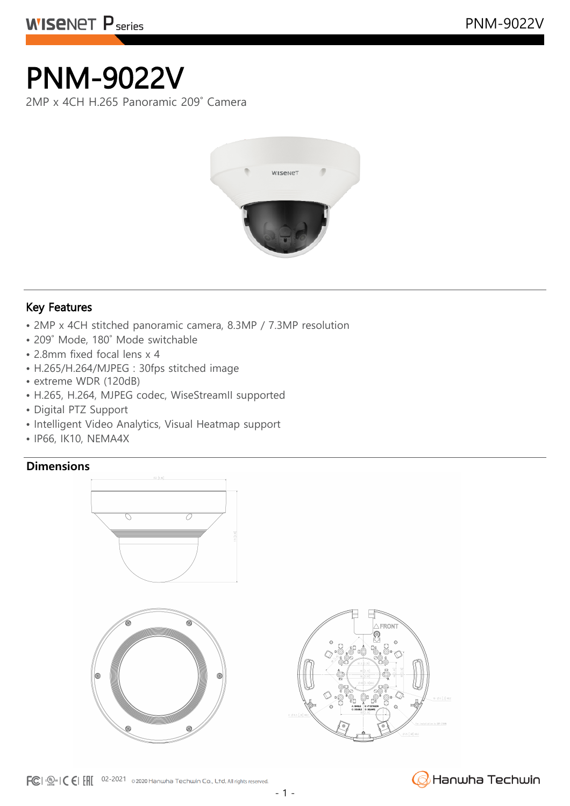# PNM-9022V

2MP x 4CH H.265 Panoramic 209˚ Camera



### Key Features

- 2MP x 4CH stitched panoramic camera, 8.3MP / 7.3MP resolution
- 209˚ Mode, 180˚ Mode switchable
- 2.8mm fixed focal lens x 4
- H.265/H.264/MJPEG : 30fps stitched image
- extreme WDR (120dB)
- H.265, H.264, MJPEG codec, WiseStreamII supported
- Digital PTZ Support
- Intelligent Video Analytics, Visual Heatmap support
- IP66, IK10, NEMA4X

### **Dimensions**





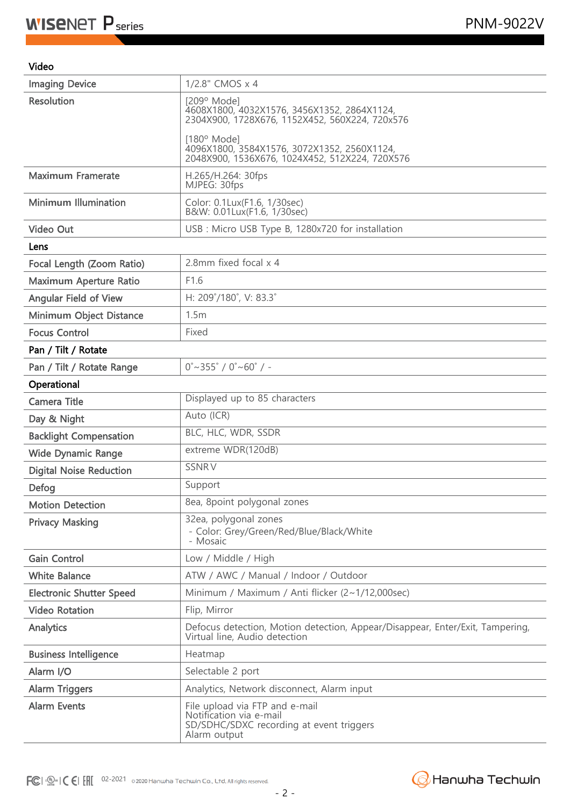#### Video

| <b>Imaging Device</b>           | 1/2.8" CMOS x 4                                                                                                       |
|---------------------------------|-----------------------------------------------------------------------------------------------------------------------|
| <b>Resolution</b>               | $[209°$ Mode]<br>4608X1800, 4032X1576, 3456X1352, 2864X1124,<br>2304X900, 1728X676, 1152X452, 560X224, 720x576        |
|                                 | $[180^{\circ}$ Mode]<br>4096X1800, 3584X1576, 3072X1352, 2560X1124,<br>2048X900, 1536X676, 1024X452, 512X224, 720X576 |
| <b>Maximum Framerate</b>        | H.265/H.264: 30fps<br>MJPEG: 30fps                                                                                    |
| <b>Minimum Illumination</b>     | Color: 0.1Lux(F1.6, 1/30sec)<br>B&W: 0.01Lux(F1.6, 1/30sec)                                                           |
| <b>Video Out</b>                | USB : Micro USB Type B, 1280x720 for installation                                                                     |
| Lens                            |                                                                                                                       |
| Focal Length (Zoom Ratio)       | 2.8mm fixed focal x 4                                                                                                 |
| Maximum Aperture Ratio          | F1.6                                                                                                                  |
| <b>Angular Field of View</b>    | H: 209°/180°, V: 83.3°                                                                                                |
| Minimum Object Distance         | 1.5m                                                                                                                  |
| <b>Focus Control</b>            | Fixed                                                                                                                 |
| Pan / Tilt / Rotate             |                                                                                                                       |
| Pan / Tilt / Rotate Range       | $0^\circ \sim 355^\circ / 0^\circ \sim 60^\circ / -$                                                                  |
| Operational                     |                                                                                                                       |
| <b>Camera Title</b>             | Displayed up to 85 characters                                                                                         |
| Day & Night                     | Auto (ICR)                                                                                                            |
| <b>Backlight Compensation</b>   | BLC, HLC, WDR, SSDR                                                                                                   |
| <b>Wide Dynamic Range</b>       | extreme WDR(120dB)                                                                                                    |
| <b>Digital Noise Reduction</b>  | <b>SSNRV</b>                                                                                                          |
| Defog                           | Support                                                                                                               |
| <b>Motion Detection</b>         | 8ea, 8point polygonal zones                                                                                           |
| <b>Privacy Masking</b>          | 32ea, polygonal zones<br>- Color: Grey/Green/Red/Blue/Black/White<br>- Mosaic                                         |
| <b>Gain Control</b>             | Low / Middle / High                                                                                                   |
| <b>White Balance</b>            | ATW / AWC / Manual / Indoor / Outdoor                                                                                 |
| <b>Electronic Shutter Speed</b> | Minimum / Maximum / Anti flicker (2~1/12,000sec)                                                                      |
| <b>Video Rotation</b>           | Flip, Mirror                                                                                                          |
| Analytics                       | Defocus detection, Motion detection, Appear/Disappear, Enter/Exit, Tampering,<br>Virtual line, Audio detection        |
| <b>Business Intelligence</b>    | Heatmap                                                                                                               |
| Alarm I/O                       | Selectable 2 port                                                                                                     |
| <b>Alarm Triggers</b>           | Analytics, Network disconnect, Alarm input                                                                            |
| <b>Alarm Events</b>             | File upload via FTP and e-mail<br>Notification via e-mail<br>SD/SDHC/SDXC recording at event triggers<br>Alarm output |